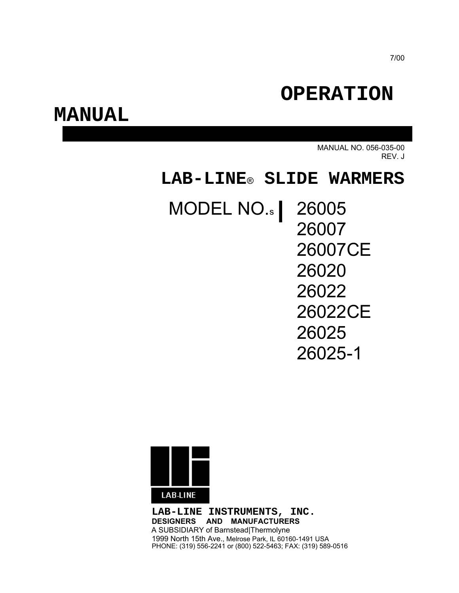# **OPERATION**

## **MANUAL**

MANUAL NO. 056-035-00 REV. J

## **LAB-LINE**® **SLIDE WARMERS**

# MODEL NO.<sub>s</sub> 26005

26007 26007CE 26020 26022 26022CE 26025 26025-1



**LAB-LINE INSTRUMENTS, INC. DESIGNERS AND MANUFACTURERS** A SUBSIDIARY of Barnstead|Thermolyne 1999 North 15th Ave., Melrose Park, IL 60160-1491 USA PHONE: (319) 556-2241 or (800) 522-5463; FAX: (319) 589-0516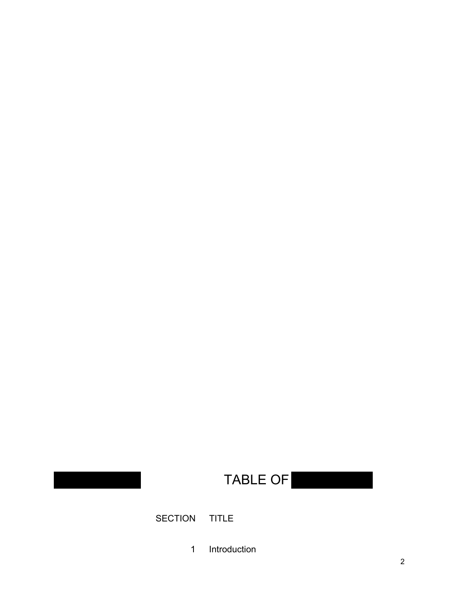# **TABLE OF**

SECTION TITLE

1 Introduction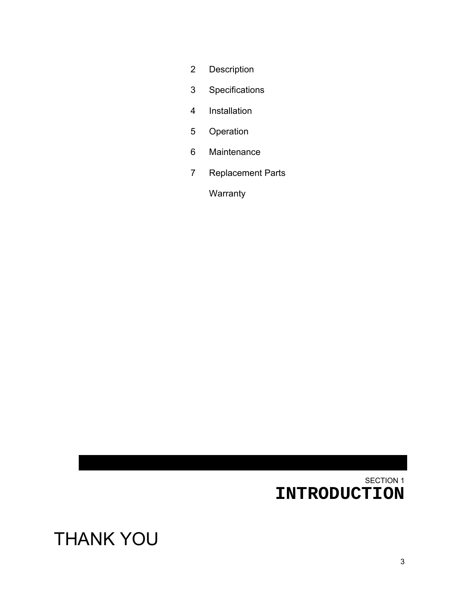# THANK YOU

## SECTION 1 **INTRODUCTION**

# 7 Replacement Parts

**Warranty** 

2 Description

3 Specifications

4 Installation

5 Operation

6 Maintenance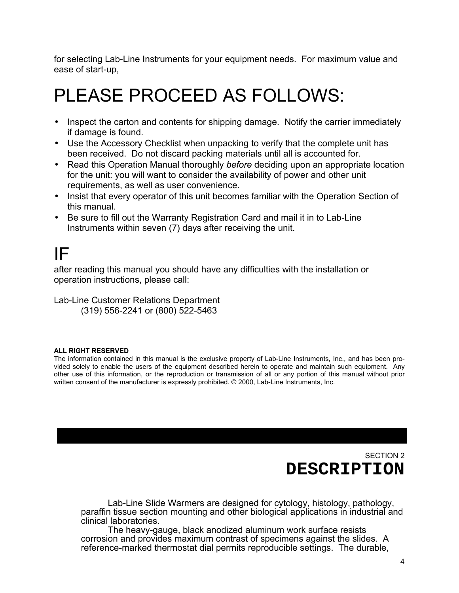for selecting Lab-Line Instruments for your equipment needs. For maximum value and ease of start-up,

# PLEASE PROCEED AS FOLLOWS:

- Inspect the carton and contents for shipping damage. Notify the carrier immediately if damage is found.
- Use the Accessory Checklist when unpacking to verify that the complete unit has been received. Do not discard packing materials until all is accounted for.
- Read this Operation Manual thoroughly *before* deciding upon an appropriate location for the unit: you will want to consider the availability of power and other unit requirements, as well as user convenience.
- Insist that every operator of this unit becomes familiar with the Operation Section of this manual.
- Be sure to fill out the Warranty Registration Card and mail it in to Lab-Line Instruments within seven (7) days after receiving the unit.

# IF

after reading this manual you should have any difficulties with the installation or operation instructions, please call:

Lab-Line Customer Relations Department (319) 556-2241 or (800) 522-5463

### **ALL RIGHT RESERVED**

The information contained in this manual is the exclusive property of Lab-Line Instruments, Inc., and has been provided solely to enable the users of the equipment described herein to operate and maintain such equipment. Any other use of this information, or the reproduction or transmission of all or any portion of this manual without prior written consent of the manufacturer is expressly prohibited. © 2000, Lab-Line Instruments, Inc.

> SECTION 2 **DESCRIPTION**

Lab-Line Slide Warmers are designed for cytology, histology, pathology, paraffin tissue section mounting and other biological applications in industrial and clinical laboratories.

The heavy-gauge, black anodized aluminum work surface resists corrosion and provides maximum contrast of specimens against the slides. A reference-marked thermostat dial permits reproducible settings. The durable,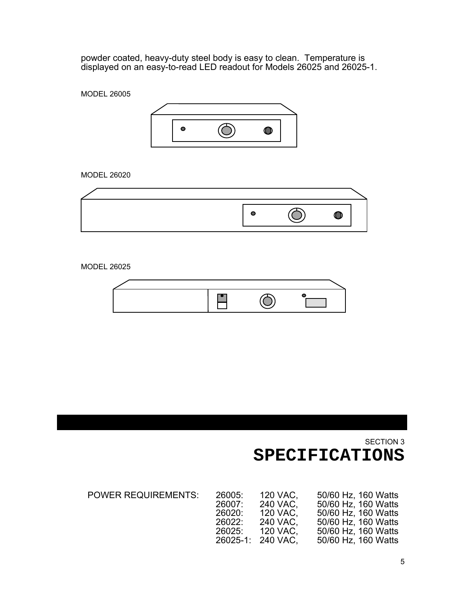powder coated, heavy-duty steel body is easy to clean. Temperature is displayed on an easy-to-read LED readout for Models 26025 and 26025-1.

MODEL 26005



MODEL 26020

MODEL 26025



SECTION 3 **SPECIFICATIONS**

|                                                | 50/60 Hz, 160 Watts                                                           |
|------------------------------------------------|-------------------------------------------------------------------------------|
|                                                | 50/60 Hz, 160 Watts                                                           |
|                                                | 50/60 Hz, 160 Watts                                                           |
|                                                | 50/60 Hz, 160 Watts                                                           |
|                                                | 50/60 Hz, 160 Watts                                                           |
|                                                | 50/60 Hz, 160 Watts                                                           |
| 26005:<br>26007:<br>26020:<br>26022:<br>26025: | 120 VAC.<br>240 VAC,<br>120 VAC.<br>240 VAC.<br>120 VAC.<br>26025-1: 240 VAC. |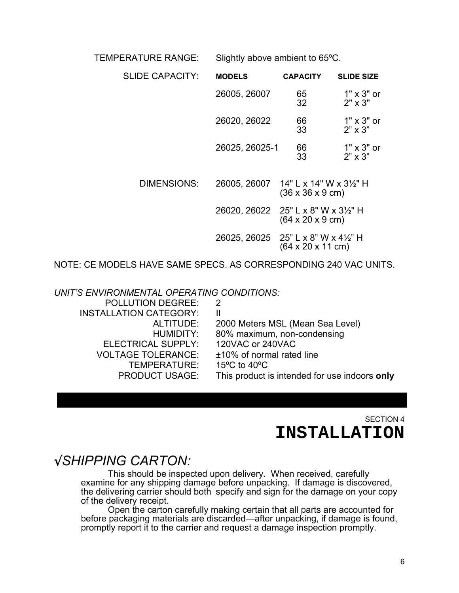TEMPERATURE RANGE: Slightly above ambient to 65ºC.

| <b>SLIDE CAPACITY:</b> | <b>MODELS</b>                        | <b>CAPACITY</b>                      | <b>SLIDE SIZE</b>                   |
|------------------------|--------------------------------------|--------------------------------------|-------------------------------------|
|                        | 26005, 26007                         | 65<br>32                             | $1" \times 3"$ or<br>$2" \times 3"$ |
|                        | 26020, 26022                         | 66<br>33                             | $1" \times 3"$ or<br>$2" \times 3"$ |
|                        | 26025, 26025-1                       | 66<br>33                             | $1" \times 3"$ or<br>$2" \times 3"$ |
| DIMENSIONS:            | 26005, 26007 14" L x 14" W x 31/2" H | $(36 \times 36 \times 9 \text{ cm})$ |                                     |
|                        | 26020, 26022 25" L x 8" W x 31/2" H  | $(64 \times 20 \times 9 \text{ cm})$ |                                     |
|                        | 26025, 26025 25" L x 8" W x 41/2" H  | (64 x 20 x 11 cm)                    |                                     |

NOTE: CE MODELS HAVE SAME SPECS. AS CORRESPONDING 240 VAC UNITS.

*UNIT'S ENVIRONMENTAL OPERATING CONDITIONS:*

| 2                                                  |
|----------------------------------------------------|
| H.                                                 |
| 2000 Meters MSL (Mean Sea Level)                   |
| 80% maximum, non-condensing                        |
| 120VAC or 240VAC                                   |
| ±10% of normal rated line                          |
| 15 $\mathrm{^{\circ}C}$ to 40 $\mathrm{^{\circ}C}$ |
| This product is intended for use indoors only      |
|                                                    |

SECTION 4 **INSTALLATION**

## √*SHIPPING CARTON:*

This should be inspected upon delivery. When received, carefully examine for any shipping damage before unpacking. If damage is discovered, the delivering carrier should both specify and sign for the damage on your copy of the delivery receipt.

Open the carton carefully making certain that all parts are accounted for before packaging materials are discarded—after unpacking, if damage is found, promptly report it to the carrier and request a damage inspection promptly.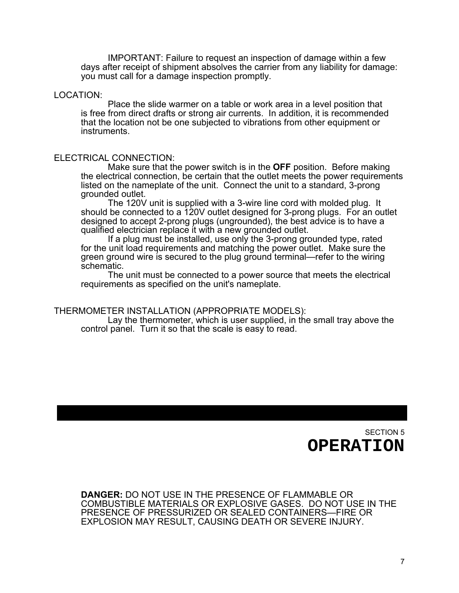IMPORTANT: Failure to request an inspection of damage within a few days after receipt of shipment absolves the carrier from any liability for damage: you must call for a damage inspection promptly.

### LOCATION:

Place the slide warmer on a table or work area in a level position that is free from direct drafts or strong air currents. In addition, it is recommended that the location not be one subjected to vibrations from other equipment or instruments.

### ELECTRICAL CONNECTION:

Make sure that the power switch is in the **OFF** position. Before making the electrical connection, be certain that the outlet meets the power requirements listed on the nameplate of the unit. Connect the unit to a standard, 3-prong grounded outlet.

The 120V unit is supplied with a 3-wire line cord with molded plug. It should be connected to a 120V outlet designed for 3-prong plugs. For an outlet designed to accept 2-prong plugs (ungrounded), the best advice is to have a qualified electrician replace it with a new grounded outlet.

If a plug must be installed, use only the 3-prong grounded type, rated for the unit load requirements and matching the power outlet. Make sure the green ground wire is secured to the plug ground terminal—refer to the wiring schematic.

The unit must be connected to a power source that meets the electrical requirements as specified on the unit's nameplate.

#### THERMOMETER INSTALLATION (APPROPRIATE MODELS):

Lay the thermometer, which is user supplied, in the small tray above the control panel. Turn it so that the scale is easy to read.

> SECTION 5 **OPERATION**

**DANGER:** DO NOT USE IN THE PRESENCE OF FLAMMABLE OR COMBUSTIBLE MATERIALS OR EXPLOSIVE GASES. DO NOT USE IN THE PRESENCE OF PRESSURIZED OR SEALED CONTAINERS—FIRE OR EXPLOSION MAY RESULT, CAUSING DEATH OR SEVERE INJURY.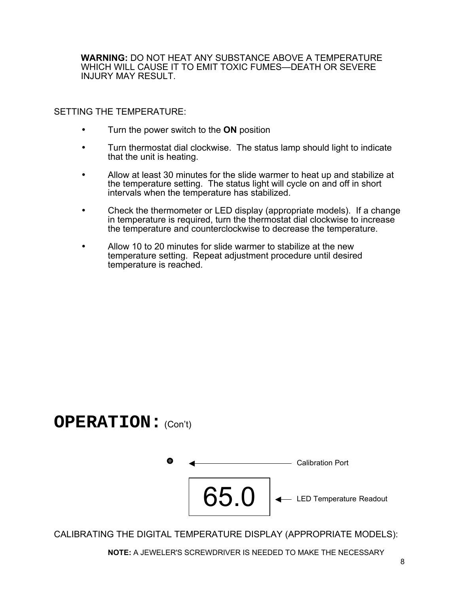**WARNING:** DO NOT HEAT ANY SUBSTANCE ABOVE A TEMPERATURE WHICH WILL CAUSE IT TO EMIT TOXIC FUMES—DEATH OR SEVERE INJURY MAY RESULT.

SETTING THE TEMPERATURE:

- Turn the power switch to the **ON** position
- Turn thermostat dial clockwise. The status lamp should light to indicate that the unit is heating.
- Allow at least 30 minutes for the slide warmer to heat up and stabilize at the temperature setting. The status light will cycle on and off in short intervals when the temperature has stabilized.
- Check the thermometer or LED display (appropriate models). If a change in temperature is required, turn the thermostat dial clockwise to increase the temperature and counterclockwise to decrease the temperature.
- Allow 10 to 20 minutes for slide warmer to stabilize at the new temperature setting. Repeat adjustment procedure until desired temperature is reached.

### **OPERATION:** (Con't)



CALIBRATING THE DIGITAL TEMPERATURE DISPLAY (APPROPRIATE MODELS):

**NOTE:** A JEWELER'S SCREWDRIVER IS NEEDED TO MAKE THE NECESSARY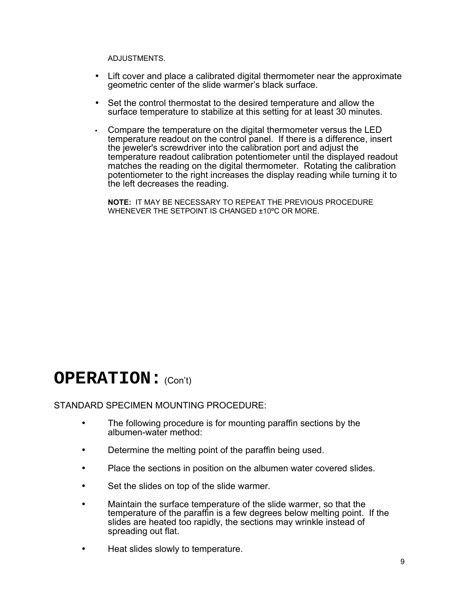ADJUSTMENTS.

- Lift cover and place a calibrated digital thermometer near the approximate geometric center of the slide warmer's black surface.
- Set the control thermostat to the desired temperature and allow the surface temperature to stabilize at this setting for at least 30 minutes.
- Compare the temperature on the digital thermometer versus the LED temperature readout on the control panel. If there is a difference, insert the jeweler's screwdriver into the calibration port and adjust the temperature readout calibration potentiometer until the displayed readout matches the reading on the digital thermometer. Rotating the calibration potentiometer to the right increases the display reading while turning it to the left decreases the reading.

**NOTE:** IT MAY BE NECESSARY TO REPEAT THE PREVIOUS PROCEDURE WHENEVER THE SETPOINT IS CHANGED ±10ºC OR MORE.

## **OPERATION:** (Con't)

### STANDARD SPECIMEN MOUNTING PROCEDURE:

- The following procedure is for mounting paraffin sections by the albumen-water method:
- Determine the melting point of the paraffin being used.
- Place the sections in position on the albumen water covered slides.
- Set the slides on top of the slide warmer.
- Maintain the surface temperature of the slide warmer, so that the temperature of the paraffin is a few degrees below melting point. If the slides are heated too rapidly, the sections may wrinkle instead of spreading out flat.
- Heat slides slowly to temperature.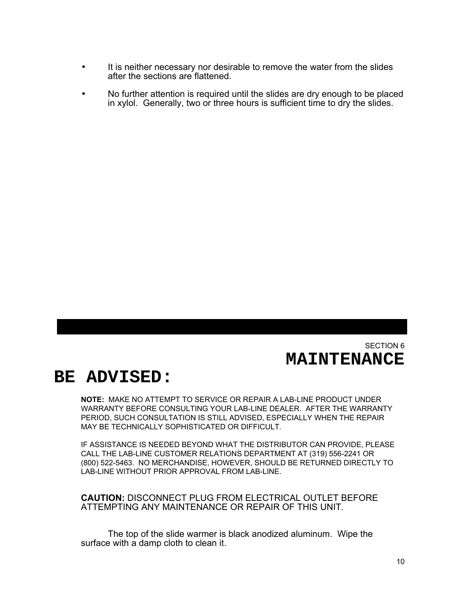- It is neither necessary nor desirable to remove the water from the slides after the sections are flattened.
- No further attention is required until the slides are dry enough to be placed in xylol. Generally, two or three hours is sufficient time to dry the slides.

### SECTION 6 **MAINTENANCE**

## **BE ADVISED:**

**NOTE:** MAKE NO ATTEMPT TO SERVICE OR REPAIR A LAB-LINE PRODUCT UNDER WARRANTY BEFORE CONSULTING YOUR LAB-LINE DEALER. AFTER THE WARRANTY PERIOD, SUCH CONSULTATION IS STILL ADVISED, ESPECIALLY WHEN THE REPAIR MAY BE TECHNICALLY SOPHISTICATED OR DIFFICULT.

IF ASSISTANCE IS NEEDED BEYOND WHAT THE DISTRIBUTOR CAN PROVIDE, PLEASE CALL THE LAB-LINE CUSTOMER RELATIONS DEPARTMENT AT (319) 556-2241 OR (800) 522-5463. NO MERCHANDISE, HOWEVER, SHOULD BE RETURNED DIRECTLY TO LAB-LINE WITHOUT PRIOR APPROVAL FROM LAB-LINE.

**CAUTION:** DISCONNECT PLUG FROM ELECTRICAL OUTLET BEFORE ATTEMPTING ANY MAINTENANCE OR REPAIR OF THIS UNIT.

The top of the slide warmer is black anodized aluminum. Wipe the surface with a damp cloth to clean it.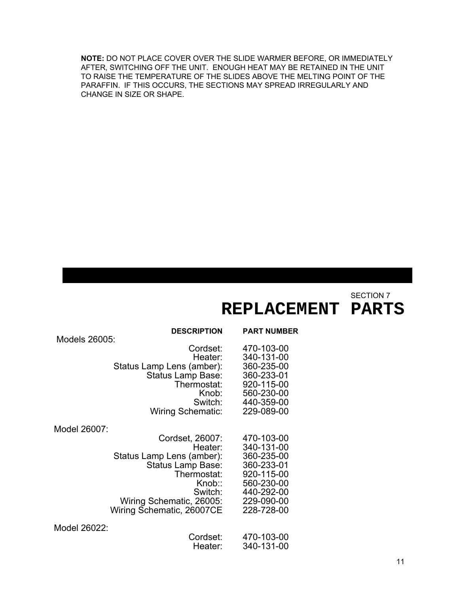**NOTE:** DO NOT PLACE COVER OVER THE SLIDE WARMER BEFORE, OR IMMEDIATELY AFTER, SWITCHING OFF THE UNIT. ENOUGH HEAT MAY BE RETAINED IN THE UNIT TO RAISE THE TEMPERATURE OF THE SLIDES ABOVE THE MELTING POINT OF THE PARAFFIN. IF THIS OCCURS, THE SECTIONS MAY SPREAD IRREGULARLY AND CHANGE IN SIZE OR SHAPE.

SECTION 7

## **REPLACEMENT PARTS**

| Models 26005: | <b>DESCRIPTION</b>                                                                                                                                                        | <b>PART NUMBER</b>                                                                                                         |
|---------------|---------------------------------------------------------------------------------------------------------------------------------------------------------------------------|----------------------------------------------------------------------------------------------------------------------------|
|               | Cordset:<br>Heater:<br>Status Lamp Lens (amber):<br>Status Lamp Base:<br>Thermostat:<br>Knob:<br>Switch:<br><b>Wiring Schematic:</b>                                      | 470-103-00<br>340-131-00<br>360-235-00<br>360-233-01<br>920-115-00<br>560-230-00<br>440-359-00<br>229-089-00               |
| Model 26007:  | Cordset, 26007:<br>Heater:<br>Status Lamp Lens (amber):<br>Status Lamp Base:<br>Thermostat:<br>Knob::<br>Switch:<br>Wiring Schematic, 26005:<br>Wiring Schematic, 26007CE | 470-103-00<br>340-131-00<br>360-235-00<br>360-233-01<br>920-115-00<br>560-230-00<br>440-292-00<br>229-090-00<br>228-728-00 |
| Model 26022:  | Cordset:<br>Heater:                                                                                                                                                       | 470-103-00<br>340-131-00                                                                                                   |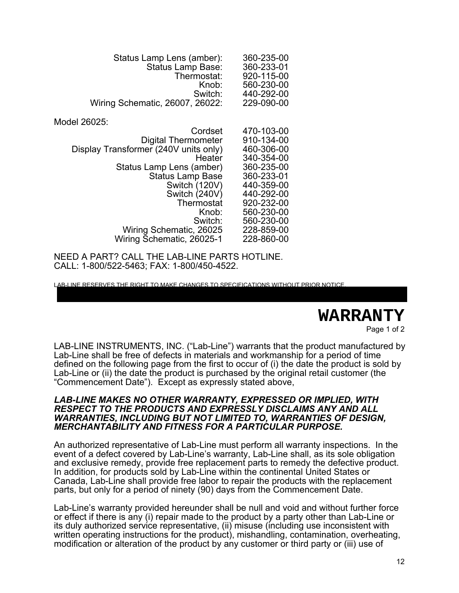| Status Lamp Lens (amber):<br><b>Status Lamp Base:</b><br>Thermostat:<br>Knob:<br>Switch:<br>Wiring Schematic, 26007, 26022: | 360-235-00<br>360-233-01<br>920-115-00<br>560-230-00<br>440-292-00<br>229-090-00 |
|-----------------------------------------------------------------------------------------------------------------------------|----------------------------------------------------------------------------------|
| Model 26025:                                                                                                                |                                                                                  |
| Cordset                                                                                                                     | 470-103-00                                                                       |
| <b>Digital Thermometer</b>                                                                                                  | 910-134-00                                                                       |
| Display Transformer (240V units only)                                                                                       | 460-306-00                                                                       |
| Heater                                                                                                                      | 340-354-00                                                                       |
| Status Lamp Lens (amber)                                                                                                    | 360-235-00                                                                       |
| <b>Status Lamp Base</b>                                                                                                     | 360-233-01                                                                       |
| Switch (120V)                                                                                                               | 440-359-00                                                                       |
| Switch (240V)                                                                                                               | 440-292-00                                                                       |
| Thermostat                                                                                                                  | 920-232-00                                                                       |
| Knob:                                                                                                                       | 560-230-00                                                                       |
| Switch:                                                                                                                     | 560-230-00                                                                       |
| Wiring Schematic, 26025                                                                                                     | 228-859-00                                                                       |
| Wiring Schematic, 26025-1                                                                                                   | 228-860-00                                                                       |

NEED A PART? CALL THE LAB-LINE PARTS HOTLINE. CALL: 1-800/522-5463; FAX: 1-800/450-4522.

LAB-LINE RESERVES THE RIGHT TO MAKE CHANGES TO SPECIFICATIONS WITHOUT PRIOR NOTICE.

## **WARRANTY**

Page 1 of 2

LAB-LINE INSTRUMENTS, INC. ("Lab-Line") warrants that the product manufactured by Lab-Line shall be free of defects in materials and workmanship for a period of time defined on the following page from the first to occur of (i) the date the product is sold by Lab-Line or (ii) the date the product is purchased by the original retail customer (the "Commencement Date"). Except as expressly stated above,

#### *LAB-LINE MAKES NO OTHER WARRANTY, EXPRESSED OR IMPLIED, WITH RESPECT TO THE PRODUCTS AND EXPRESSLY DISCLAIMS ANY AND ALL WARRANTIES, INCLUDING BUT NOT LIMITED TO, WARRANTIES OF DESIGN, MERCHANTABILITY AND FITNESS FOR A PARTICULAR PURPOSE.*

An authorized representative of Lab-Line must perform all warranty inspections. In the event of a defect covered by Lab-Line's warranty, Lab-Line shall, as its sole obligation and exclusive remedy, provide free replacement parts to remedy the defective product. In addition, for products sold by Lab-Line within the continental United States or Canada, Lab-Line shall provide free labor to repair the products with the replacement parts, but only for a period of ninety (90) days from the Commencement Date.

Lab-Line's warranty provided hereunder shall be null and void and without further force or effect if there is any (i) repair made to the product by a party other than Lab-Line or its duly authorized service representative, (ii) misuse (including use inconsistent with written operating instructions for the product), mishandling, contamination, overheating, modification or alteration of the product by any customer or third party or (iii) use of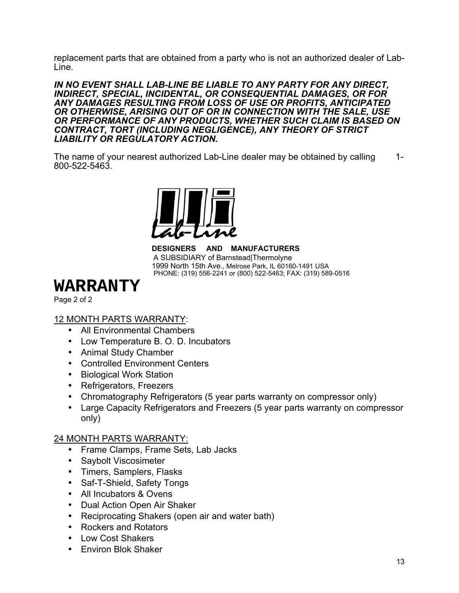replacement parts that are obtained from a party who is not an authorized dealer of Lab-Line.

*IN NO EVENT SHALL LAB-LINE BE LIABLE TO ANY PARTY FOR ANY DIRECT, INDIRECT, SPECIAL, INCIDENTAL, OR CONSEQUENTIAL DAMAGES, OR FOR ANY DAMAGES RESULTING FROM LOSS OF USE OR PROFITS, ANTICIPATED OR OTHERWISE, ARISING OUT OF OR IN CONNECTION WITH THE SALE, USE OR PERFORMANCE OF ANY PRODUCTS, WHETHER SUCH CLAIM IS BASED ON CONTRACT, TORT (INCLUDING NEGLIGENCE), ANY THEORY OF STRICT LIABILITY OR REGULATORY ACTION.*

The name of your nearest authorized Lab-Line dealer may be obtained by calling 1-800-522-5463.



**DESIGNERS AND MANUFACTURERS** A SUBSIDIARY of Barnstead|Thermolyne 1999 North 15th Ave., Melrose Park, IL 60160-1491 USA PHONE: (319) 556-2241 or (800) 522-5463; FAX: (319) 589-0516

## **WARRANTY**

Page 2 of 2

### 12 MONTH PARTS WARRANTY:

- All Environmental Chambers
- Low Temperature B. O. D. Incubators
- Animal Study Chamber
- Controlled Environment Centers
- Biological Work Station
- Refrigerators, Freezers
- Chromatography Refrigerators (5 year parts warranty on compressor only)
- Large Capacity Refrigerators and Freezers (5 year parts warranty on compressor only)

### 24 MONTH PARTS WARRANTY:

- Frame Clamps, Frame Sets, Lab Jacks
- Saybolt Viscosimeter
- Timers, Samplers, Flasks
- Saf-T-Shield, Safety Tongs
- All Incubators & Ovens
- Dual Action Open Air Shaker
- Reciprocating Shakers (open air and water bath)
- Rockers and Rotators
- Low Cost Shakers
- Environ Blok Shaker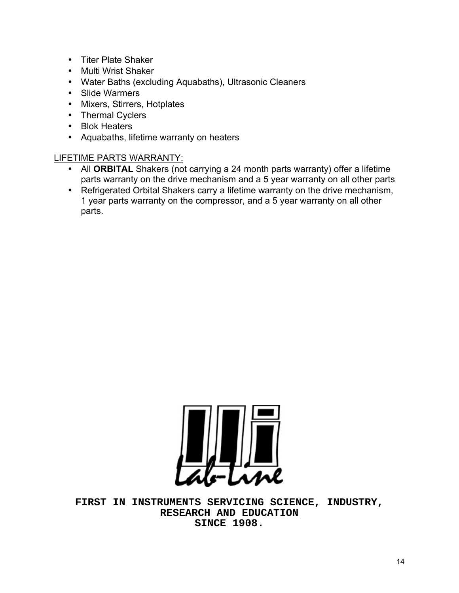- Titer Plate Shaker
- Multi Wrist Shaker
- Water Baths (excluding Aquabaths), Ultrasonic Cleaners
- Slide Warmers
- Mixers, Stirrers, Hotplates
- Thermal Cyclers
- Blok Heaters
- Aquabaths, lifetime warranty on heaters

### LIFETIME PARTS WARRANTY:

- All **ORBITAL** Shakers (not carrying a 24 month parts warranty) offer a lifetime parts warranty on the drive mechanism and a 5 year warranty on all other parts
- Refrigerated Orbital Shakers carry a lifetime warranty on the drive mechanism, 1 year parts warranty on the compressor, and a 5 year warranty on all other parts.



**FIRST IN INSTRUMENTS SERVICING SCIENCE, INDUSTRY, RESEARCH AND EDUCATION SINCE 1908.**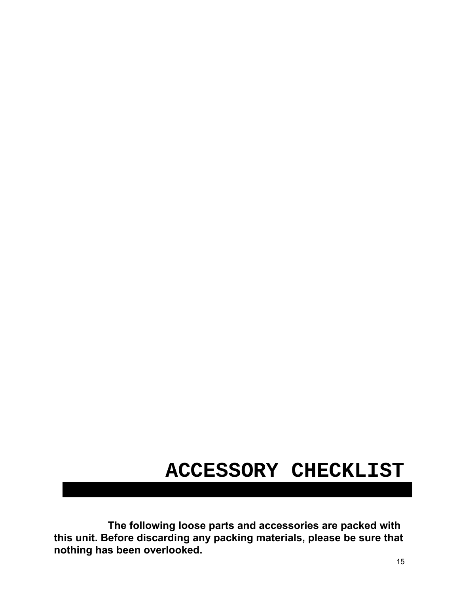# **ACCESSORY CHECKLIST**

**The following loose parts and accessories are packed with this unit. Before discarding any packing materials, please be sure that nothing has been overlooked.**